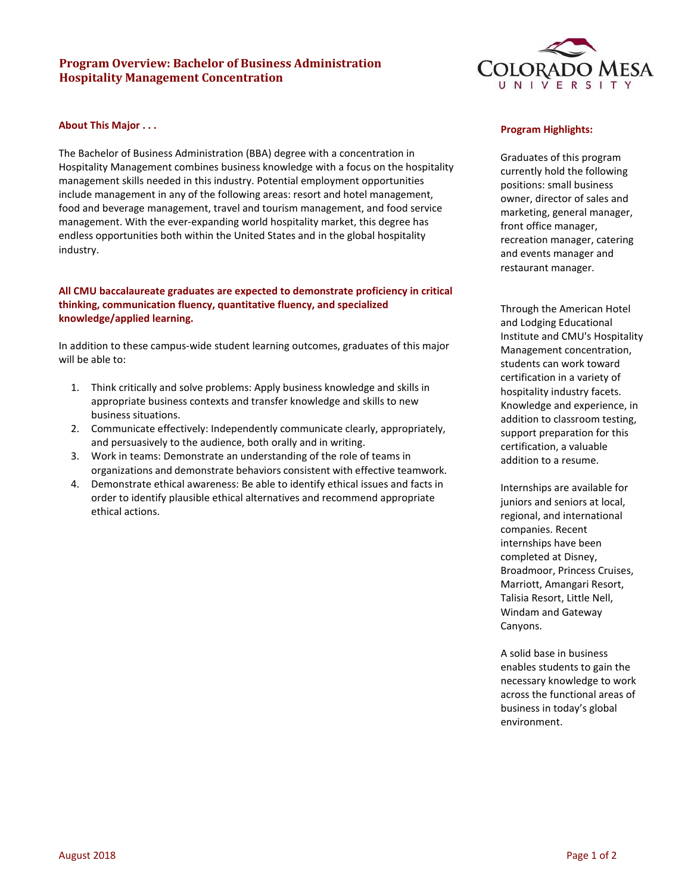# **Program Overview: Bachelor of Business Administration Hospitality Management Concentration**



### **About This Major . . .**

The Bachelor of Business Administration (BBA) degree with a concentration in Hospitality Management combines business knowledge with a focus on the hospitality management skills needed in this industry. Potential employment opportunities include management in any of the following areas: resort and hotel management, food and beverage management, travel and tourism management, and food service management. With the ever-expanding world hospitality market, this degree has endless opportunities both within the United States and in the global hospitality industry.

## **All CMU baccalaureate graduates are expected to demonstrate proficiency in critical thinking, communication fluency, quantitative fluency, and specialized knowledge/applied learning.**

In addition to these campus‐wide student learning outcomes, graduates of this major will be able to:

- 1. Think critically and solve problems: Apply business knowledge and skills in appropriate business contexts and transfer knowledge and skills to new business situations.
- 2. Communicate effectively: Independently communicate clearly, appropriately, and persuasively to the audience, both orally and in writing.
- 3. Work in teams: Demonstrate an understanding of the role of teams in organizations and demonstrate behaviors consistent with effective teamwork.
- 4. Demonstrate ethical awareness: Be able to identify ethical issues and facts in order to identify plausible ethical alternatives and recommend appropriate ethical actions.

#### **Program Highlights:**

Graduates of this program currently hold the following positions: small business owner, director of sales and marketing, general manager, front office manager, recreation manager, catering and events manager and restaurant manager.

Through the American Hotel and Lodging Educational Institute and CMU's Hospitality Management concentration, students can work toward certification in a variety of hospitality industry facets. Knowledge and experience, in addition to classroom testing, support preparation for this certification, a valuable addition to a resume.

Internships are available for juniors and seniors at local, regional, and international companies. Recent internships have been completed at Disney, Broadmoor, Princess Cruises, Marriott, Amangari Resort, Talisia Resort, Little Nell, Windam and Gateway Canyons.

A solid base in business enables students to gain the necessary knowledge to work across the functional areas of business in today's global environment.